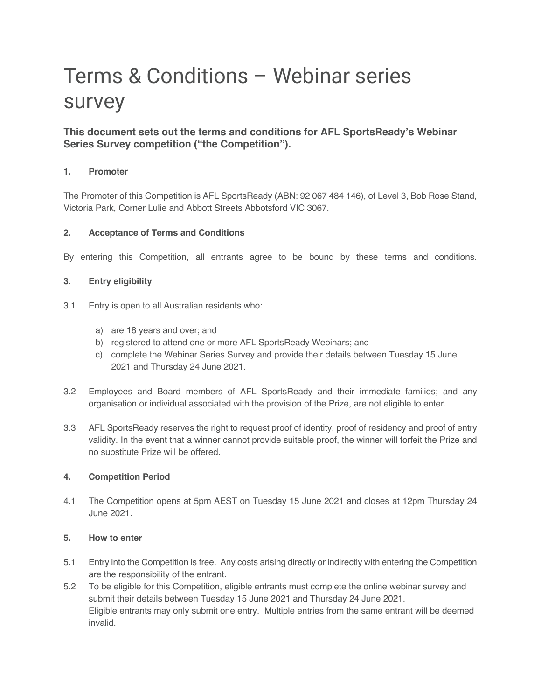# Terms & Conditions – Webinar series survey

# **This document sets out the terms and conditions for AFL SportsReady's Webinar Series Survey competition ("the Competition").**

# **1. Promoter**

The Promoter of this Competition is AFL SportsReady (ABN: 92 067 484 146), of Level 3, Bob Rose Stand, Victoria Park, Corner Lulie and Abbott Streets Abbotsford VIC 3067.

# **2. Acceptance of Terms and Conditions**

By entering this Competition, all entrants agree to be bound by these terms and conditions.

## **3. Entry eligibility**

- 3.1 Entry is open to all Australian residents who:
	- a) are 18 years and over; and
	- b) registered to attend one or more AFL SportsReady Webinars; and
	- c) complete the Webinar Series Survey and provide their details between Tuesday 15 June 2021 and Thursday 24 June 2021.
- 3.2 Employees and Board members of AFL SportsReady and their immediate families; and any organisation or individual associated with the provision of the Prize, are not eligible to enter.
- 3.3 AFL SportsReady reserves the right to request proof of identity, proof of residency and proof of entry validity. In the event that a winner cannot provide suitable proof, the winner will forfeit the Prize and no substitute Prize will be offered.

#### **4. Competition Period**

4.1 The Competition opens at 5pm AEST on Tuesday 15 June 2021 and closes at 12pm Thursday 24 June 2021.

# **5. How to enter**

- 5.1 Entry into the Competition is free. Any costs arising directly or indirectly with entering the Competition are the responsibility of the entrant.
- 5.2 To be eligible for this Competition, eligible entrants must complete the online webinar survey and submit their details between Tuesday 15 June 2021 and Thursday 24 June 2021. Eligible entrants may only submit one entry. Multiple entries from the same entrant will be deemed invalid.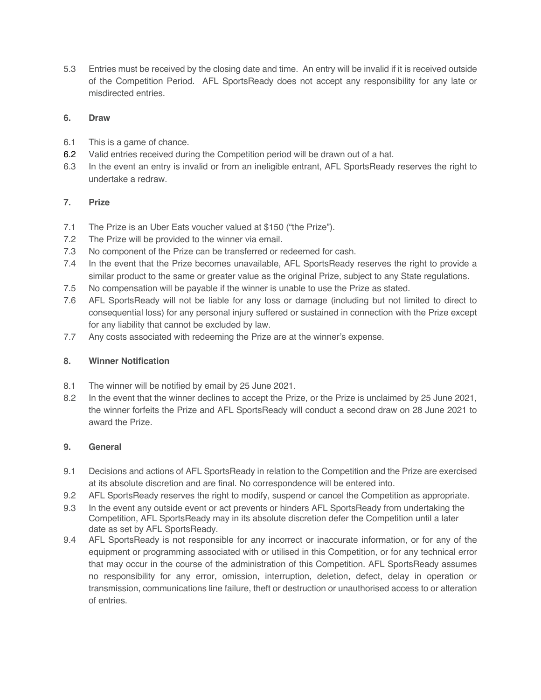5.3 Entries must be received by the closing date and time. An entry will be invalid if it is received outside of the Competition Period. AFL SportsReady does not accept any responsibility for any late or misdirected entries.

## **6. Draw**

- 6.1 This is a game of chance.
- 6.2 Valid entries received during the Competition period will be drawn out of a hat.
- 6.3 In the event an entry is invalid or from an ineligible entrant, AFL SportsReady reserves the right to undertake a redraw.

## **7. Prize**

- 7.1 The Prize is an Uber Eats voucher valued at \$150 ("the Prize").
- 7.2 The Prize will be provided to the winner via email.
- 7.3 No component of the Prize can be transferred or redeemed for cash.
- 7.4 In the event that the Prize becomes unavailable, AFL SportsReady reserves the right to provide a similar product to the same or greater value as the original Prize, subject to any State regulations.
- 7.5 No compensation will be payable if the winner is unable to use the Prize as stated.
- 7.6 AFL SportsReady will not be liable for any loss or damage (including but not limited to direct to consequential loss) for any personal injury suffered or sustained in connection with the Prize except for any liability that cannot be excluded by law.
- 7.7 Any costs associated with redeeming the Prize are at the winner's expense.

#### **8. Winner Notification**

- 8.1 The winner will be notified by email by 25 June 2021.
- 8.2 In the event that the winner declines to accept the Prize, or the Prize is unclaimed by 25 June 2021, the winner forfeits the Prize and AFL SportsReady will conduct a second draw on 28 June 2021 to award the Prize.

#### **9. General**

- 9.1 Decisions and actions of AFL SportsReady in relation to the Competition and the Prize are exercised at its absolute discretion and are final. No correspondence will be entered into.
- 9.2 AFL SportsReady reserves the right to modify, suspend or cancel the Competition as appropriate.
- 9.3 In the event any outside event or act prevents or hinders AFL SportsReady from undertaking the Competition, AFL SportsReady may in its absolute discretion defer the Competition until a later date as set by AFL SportsReady.
- 9.4 AFL SportsReady is not responsible for any incorrect or inaccurate information, or for any of the equipment or programming associated with or utilised in this Competition, or for any technical error that may occur in the course of the administration of this Competition. AFL SportsReady assumes no responsibility for any error, omission, interruption, deletion, defect, delay in operation or transmission, communications line failure, theft or destruction or unauthorised access to or alteration of entries.